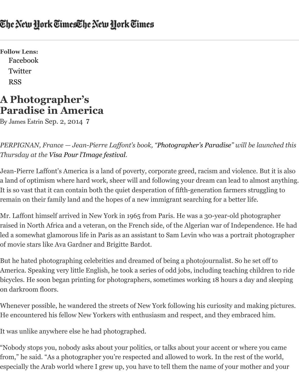**Follow Lens:** Facebook **[Twitter](https://www.nytimes.com/)** RSS

## **A Photographer's P[aradis](https://facebook.com/nytimesphoto)e in America**

B[y James Es](https://twitter.com/nytimesphoto)trin Sep. 2, 2014 7

*PERPIGNAN, France — Jean-Pierre Laffont's book, "Photographer's Paradise" will be Thursday at the Visa Pour l'Image festival.*

Jean-Pierre Laffont's Americ[a](http://lens.blogs.nytimes.com/2014/09/02/a-photographers-paradise-in-america/#commentsContainer) is a land of poverty, corporate greed, racism and violence a land of optimism where hard work, sheer will and following your dream can lead to al It is so vast that it can contain both the quiet desperation of fifth-generation farmers str remain on their [family land and the hopes o](http://www.visapourlimage.com/index.do)f a new i[mmigrant searching for a b](http://www.jplaffont.com/)etter life.

Mr. Laffont himself arrived in New York in 1965 from Paris. He was a 30-year-old phot raised in North Africa and a veteran, on the French side, of the Algerian war of Indeper led a somewhat glamorous life in Paris as an assistant to Sam Levin who was a portrait of movie stars like Ava Gardner and Brigitte Bardot.

But he hated photographing celebrities and dreamed of being a photojournalist. So he s America. Speaking very little English, he took a series of odd jobs, including teaching cl bicycles. He soon began printing for photographers, sometimes working 18 hours a day on darkroom floors.

Whenever possible, he wandered the streets of New York following his curiosity and ma He encountered his fellow New Yorkers with enthusiasm and respect, and they embrac

It was unlike anywhere else he had photographed.

"Nobody stops you, nobody asks about your politics, or talks about your accent or wher from," he said. "As a photographer you're respected and allowed to work. In the rest of especially the Arab world where I grew up, you have to tell them the name of your moth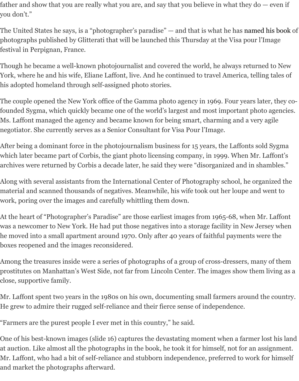festival in Perpignan, France.

Though he became a well-known photojournalist and covered the world, he always returned to  $N$ York, where he and his wife, Eliane Laffont, live. And he continued to travel America, to his adopted homeland through self-assigned photo stories.

The couple opened the New York office of the Gamma photo agency in 1969. Four years founded Sygma, which quickly became one of the world's largest and most important p Ms. Laffont managed the agency and became known for being smart, charming and a v negotiator. She currently serves as a Senior Consultant for Visa Pour l'Image.

After being a dominant force in the photojournalism business for 15 years, the Laffonts which later became part of Corbis, the giant photo licensing company, in 1999. When N archives were returned by Corbis a decade later, he said they were "disorganized and in

Along with several assistants from the International Center of Photography school, he or material and scanned thousands of negatives. Meanwhile, his wife took out her loupe and work, poring over the images and carefully whittling them down.

At the heart of "Photographer's Paradise" are those earliest images from 1965-68, when was a newcomer to New York. He had put those negatives into a storage facility in New he moved into a small apartment around 1970. Only after 40 years of faithful payments boxes reopened and the images reconsidered.

Among the treasures inside were a series of photographs of a group of cross-dressers, n prostitutes on Manhattan's West Side, not far from Lincoln Center. The images show th close, supportive family.

Mr. Laffont spent two years in the 1980s on his own, documenting small farmers aroun He grew to admire their rugged self-reliance and their fierce sense of independence.

"Farmers are the purest people I ever met in this country," he said.

One of his best-known images (slide 16) captures the devastating moment when a farm at auction. Like almost all the photographs in the book, he took it for himself, not for an Mr. Laffont, who had a bit of self-reliance and stubborn independence, preferred to wo and market the photographs afterward.